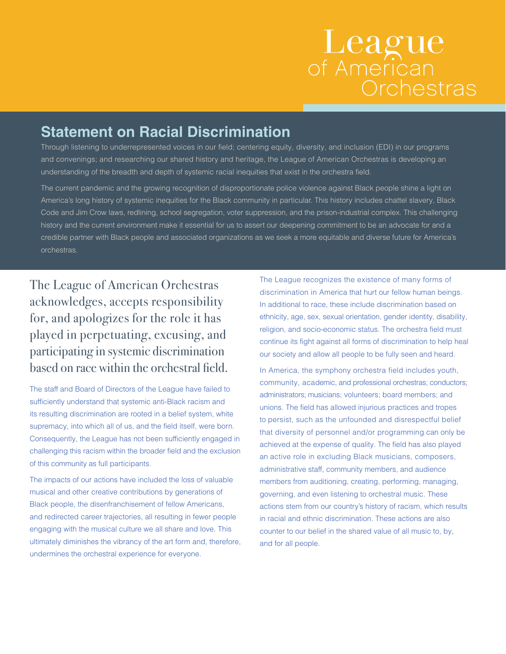## League<br>of American Orchestras

## **Statement on Racial Discrimination**

Through listening to underrepresented voices in our field; centering equity, diversity, and inclusion (EDI) in our programs and convenings; and researching our shared history and heritage, the League of American Orchestras is developing an understanding of the breadth and depth of systemic racial inequities that exist in the orchestra field.

The current pandemic and the growing recognition of disproportionate police violence against Black people shine a light on America's long history of systemic inequities for the Black community in particular. This history includes chattel slavery, Black Code and Jim Crow laws, redlining, school segregation, voter suppression, and the prison-industrial complex. This challenging history and the current environment make it essential for us to assert our deepening commitment to be an advocate for and a credible partner with Black people and associated organizations as we seek a more equitable and diverse future for America's orchestras.

The League of American Orchestras acknowledges, accepts responsibility for, and apologizes for the role it has played in perpetuating, excusing, and participating in systemic discrimination based on race within the orchestral field.

The staff and Board of Directors of the League have failed to sufficiently understand that systemic anti-Black racism and its resulting discrimination are rooted in a belief system, white supremacy, into which all of us, and the field itself, were born. Consequently, the League has not been sufficiently engaged in challenging this racism within the broader field and the exclusion of this community as full participants.

The impacts of our actions have included the loss of valuable musical and other creative contributions by generations of Black people, the disenfranchisement of fellow Americans, and redirected career trajectories, all resulting in fewer people engaging with the musical culture we all share and love. This ultimately diminishes the vibrancy of the art form and, therefore, undermines the orchestral experience for everyone.

The League recognizes the existence of many forms of discrimination in America that hurt our fellow human beings. In additional to race, these include discrimination based on ethnicity, age, sex, sexual orientation, gender identity, disability, religion, and socio-economic status. The orchestra field must continue its fight against all forms of discrimination to help heal our society and allow all people to be fully seen and heard.

In America, the symphony orchestra field includes youth, community, academic, and professional orchestras; conductors; administrators; musicians; volunteers; board members; and unions. The field has allowed injurious practices and tropes to persist, such as the unfounded and disrespectful belief that diversity of personnel and/or programming can only be achieved at the expense of quality. The field has also played an active role in excluding Black musicians, composers, administrative staff, community members, and audience members from auditioning, creating, performing, managing, governing, and even listening to orchestral music. These actions stem from our country's history of racism, which results in racial and ethnic discrimination. These actions are also counter to our belief in the shared value of all music to, by, and for all people.